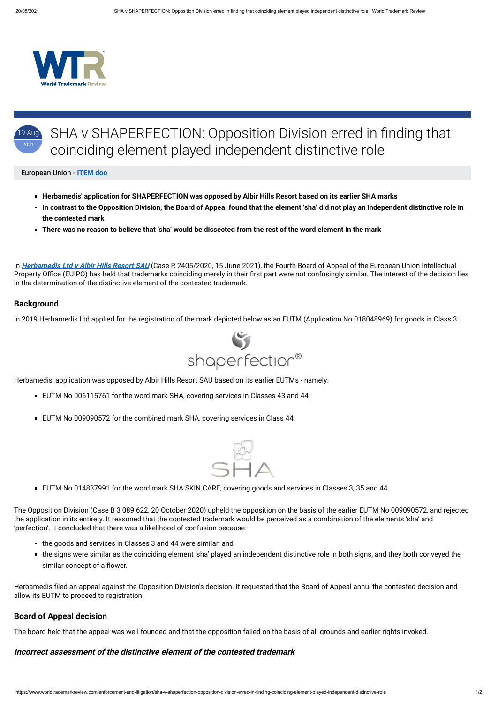



#### European Union - **[ITEM doo](https://www.worldtrademarkreview.com/Daily/Contributors#Slovenia)**

- **Herbamedis' application for SHAPERFECTION was opposed by Albir Hills Resort based on its earlier SHA marks**
- **In contrast to the Opposition Division, the Board of Appeal found that the element 'sha' did not play an independent distinctive role in the contested mark**
- **There was no reason to believe that 'sha' would be dissected from the rest of the word element in the mark**

- EUTM No 006115761 for the word mark SHA, covering services in Classes 43 and 44;
- EUTM No 009090572 for the combined mark SHA, covering services in Class 44:



In **Herbamedis Ltd <sup>v</sup> [Albir Hills Resort SAU](https://euipo.europa.eu/copla/trademark/data/018048969/download/CLW/APL/2021/EN/20210615_R2405_2020-4.pdf?app=caselaw&casenum=R2405/2020-4&trTypeDoc=NA)** (Case R 2405/2020, 15 June 2021), the Fourth Board of Appeal of the European Union Intellectual Property Office (EUIPO) has held that trademarks coinciding merely in their first part were not confusingly similar. The interest of the decision lies in the determination of the distinctive element of the contested trademark.

#### **Background**

In 2019 Herbamedis Ltd applied for the registration of the mark depicted below as an EUTM (Application No 018048969) for goods in Class 3:



Herbamedis' application was opposed by Albir Hills Resort SAU based on its earlier EUTMs - namely:

EUTM No 014837991 for the word mark SHA SKIN CARE, covering goods and services in Classes 3, 35 and 44.

The Opposition Division (Case B 3 089 622, 20 October 2020) upheld the opposition on the basis of the earlier EUTM No 009090572, and rejected the application in its entirety. It reasoned that the contested trademark would be perceived as a combination of the elements 'sha' and 'perfection'. It concluded that there was a likelihood of confusion because:

- the goods and services in Classes 3 and 44 were similar; and
- the signs were similar as the coinciding element 'sha' played an independent distinctive role in both signs, and they both conveyed the similar concept of a flower.

Herbamedis filed an appeal against the Opposition Division's decision. It requested that the Board of Appeal annul the contested decision and allow its EUTM to proceed to registration.

## **Board of Appeal decision**

The board held that the appeal was well founded and that the opposition failed on the basis of all grounds and earlier rights invoked.

## **Incorrect assessment of the distinctive element of the contested trademark**